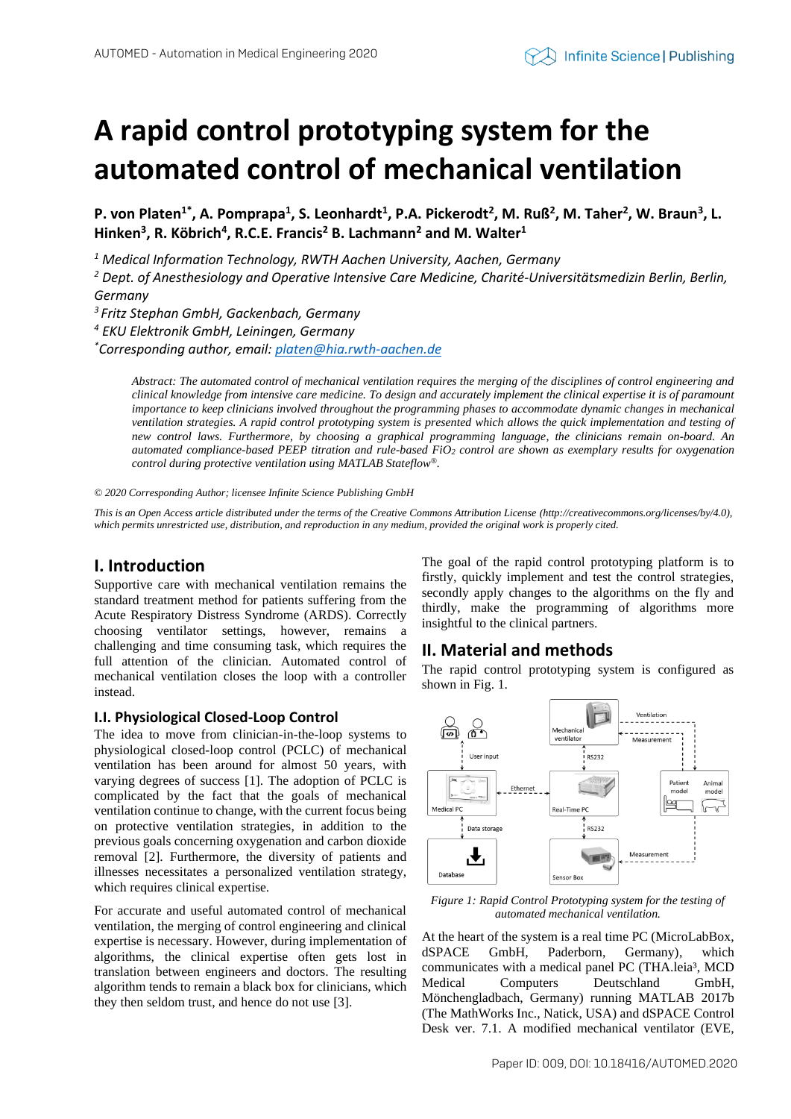# **A rapid control prototyping system for the automated control of mechanical ventilation**

**P. von Platen1\*, A. Pomprapa<sup>1</sup> , S. Leonhardt<sup>1</sup> , P.A. Pickerodt<sup>2</sup> , M. Ruß<sup>2</sup> , M. Taher<sup>2</sup> , W. Braun<sup>3</sup> , L. Hinken<sup>3</sup> , R. Köbrich<sup>4</sup> , R.C.E. Francis<sup>2</sup> B. Lachmann<sup>2</sup> and M. Walter<sup>1</sup>**

*<sup>1</sup> Medical Information Technology, RWTH Aachen University, Aachen, Germany*

*<sup>2</sup> Dept. of Anesthesiology and Operative Intensive Care Medicine, Charité-Universitätsmedizin Berlin, Berlin, Germany*

*3 Fritz Stephan GmbH, Gackenbach, Germany*

*<sup>4</sup> EKU Elektronik GmbH, Leiningen, Germany*

*\*Corresponding author, email: [platen@hia.rwth-aachen.de](mailto:platen@hia.rwth-aachen.de)*

*Abstract: The automated control of mechanical ventilation requires the merging of the disciplines of control engineering and clinical knowledge from intensive care medicine. To design and accurately implement the clinical expertise it is of paramount importance to keep clinicians involved throughout the programming phases to accommodate dynamic changes in mechanical ventilation strategies. A rapid control prototyping system is presented which allows the quick implementation and testing of new control laws. Furthermore, by choosing a graphical programming language, the clinicians remain on-board. An automated compliance-based PEEP titration and rule-based FiO<sup>2</sup> control are shown as exemplary results for oxygenation control during protective ventilation using MATLAB Stateflow®.* 

*© 2020 Corresponding Author; licensee Infinite Science Publishing GmbH*

*This is an Open Access article distributed under the terms of the Creative Commons Attribution License (http://creativecommons.org/licenses/by/4.0),*  which permits unrestricted use, distribution, and reproduction in any medium, provided the original work is properly cited.

## **I. Introduction**

Supportive care with mechanical ventilation remains the standard treatment method for patients suffering from the Acute Respiratory Distress Syndrome (ARDS). Correctly choosing ventilator settings, however, remains a challenging and time consuming task, which requires the full attention of the clinician. Automated control of mechanical ventilation closes the loop with a controller instead.

### **I.I. Physiological Closed-Loop Control**

The idea to move from clinician-in-the-loop systems to physiological closed-loop control (PCLC) of mechanical ventilation has been around for almost 50 years, with varying degrees of success [1]. The adoption of PCLC is complicated by the fact that the goals of mechanical ventilation continue to change, with the current focus being on protective ventilation strategies, in addition to the previous goals concerning oxygenation and carbon dioxide removal [2]. Furthermore, the diversity of patients and illnesses necessitates a personalized ventilation strategy, which requires clinical expertise.

For accurate and useful automated control of mechanical ventilation, the merging of control engineering and clinical expertise is necessary. However, during implementation of algorithms, the clinical expertise often gets lost in translation between engineers and doctors. The resulting algorithm tends to remain a black box for clinicians, which they then seldom trust, and hence do not use [3].

The goal of the rapid control prototyping platform is to firstly, quickly implement and test the control strategies, secondly apply changes to the algorithms on the fly and thirdly, make the programming of algorithms more insightful to the clinical partners.

## **II. Material and methods**

The rapid control prototyping system is configured as shown in Fig. 1.



*Figure 1: Rapid Control Prototyping system for the testing of automated mechanical ventilation.*

At the heart of the system is a real time PC (MicroLabBox, dSPACE GmbH, Paderborn, Germany), which communicates with a medical panel PC (THA.leia<sup>3</sup>, MCD Medical Computers Deutschland GmbH, Mönchengladbach, Germany) running MATLAB 2017b (The MathWorks Inc., Natick, USA) and dSPACE Control Desk ver. 7.1. A modified mechanical ventilator (EVE,